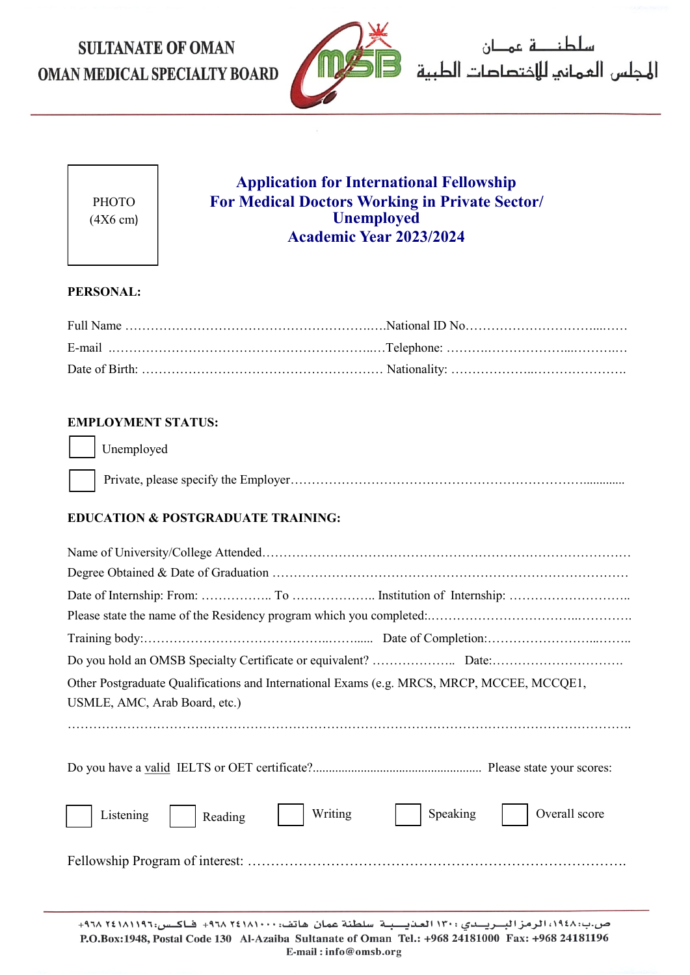# **SULTANATE OF OMAN** OMAN MEDICAL SPECIALTY BOARD



سلطنا قاعمان 



## **Application for International Fellowship For Medical Doctors Working in Private Sector/ Unemployed Academic Year 2023/2024**

#### **PERSONAL:**

#### **EMPLOYMENT STATUS:**

Unemployed

#### **EDUCATION & POSTGRADUATE TRAINING:**

| Other Postgraduate Qualifications and International Exams (e.g. MRCS, MRCP, MCCEE, MCCQE1,<br>USMLE, AMC, Arab Board, etc.) |
|-----------------------------------------------------------------------------------------------------------------------------|
|                                                                                                                             |
| Writing<br>Overall score<br>Speaking<br>Listening<br>Reading                                                                |
|                                                                                                                             |
| the contract of the contract of the contract of the contract of the contract of the contract of the contract of             |

ص.ب: ١٩٤٨، الرمز البــريــدى : ١٣٠ العـنيـــبـة سلطنة عمان هاتف: ١٨١٠١٠٠٠ ٦٤١٨ ٩٣٨+ فـاكـس: ١٩١٨١١٩٦+ ٢٩٨. P.O.Box:1948, Postal Code 130 Al-Azaiba Sultanate of Oman Tel.: +968 24181000 Fax: +968 24181196 E-mail:info@omsb.org